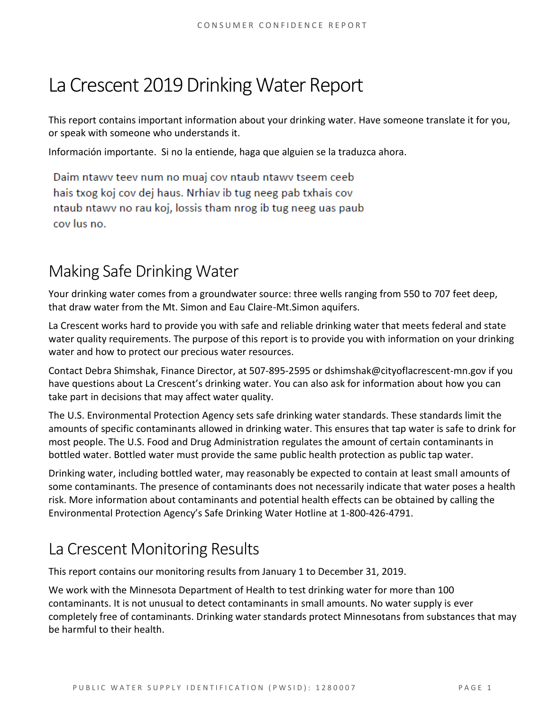# La Crescent 2019 Drinking Water Report

This report contains important information about your drinking water. Have someone translate it for you, or speak with someone who understands it.

Información importante. Si no la entiende, haga que alguien se la traduzca ahora.

Daim ntawy teey num no muaj coy ntaub ntawy tseem ceeb hais txog koj cov dej haus. Nrhiav ib tug neeg pab txhais cov ntaub ntawy no rau koj, lossis tham nrog ib tug neeg uas paub cov lus no.

## Making Safe Drinking Water

Your drinking water comes from a groundwater source: three wells ranging from 550 to 707 feet deep, that draw water from the Mt. Simon and Eau Claire-Mt.Simon aquifers.

La Crescent works hard to provide you with safe and reliable drinking water that meets federal and state water quality requirements. The purpose of this report is to provide you with information on your drinking water and how to protect our precious water resources.

Contact Debra Shimshak, Finance Director, at 507-895-2595 or dshimshak@cityoflacrescent-mn.gov if you have questions about La Crescent's drinking water. You can also ask for information about how you can take part in decisions that may affect water quality.

The U.S. Environmental Protection Agency sets safe drinking water standards. These standards limit the amounts of specific contaminants allowed in drinking water. This ensures that tap water is safe to drink for most people. The U.S. Food and Drug Administration regulates the amount of certain contaminants in bottled water. Bottled water must provide the same public health protection as public tap water.

Drinking water, including bottled water, may reasonably be expected to contain at least small amounts of some contaminants. The presence of contaminants does not necessarily indicate that water poses a health risk. More information about contaminants and potential health effects can be obtained by calling the Environmental Protection Agency's Safe Drinking Water Hotline at 1-800-426-4791.

## La Crescent Monitoring Results

This report contains our monitoring results from January 1 to December 31, 2019.

We work with the Minnesota Department of Health to test drinking water for more than 100 contaminants. It is not unusual to detect contaminants in small amounts. No water supply is ever completely free of contaminants. Drinking water standards protect Minnesotans from substances that may be harmful to their health.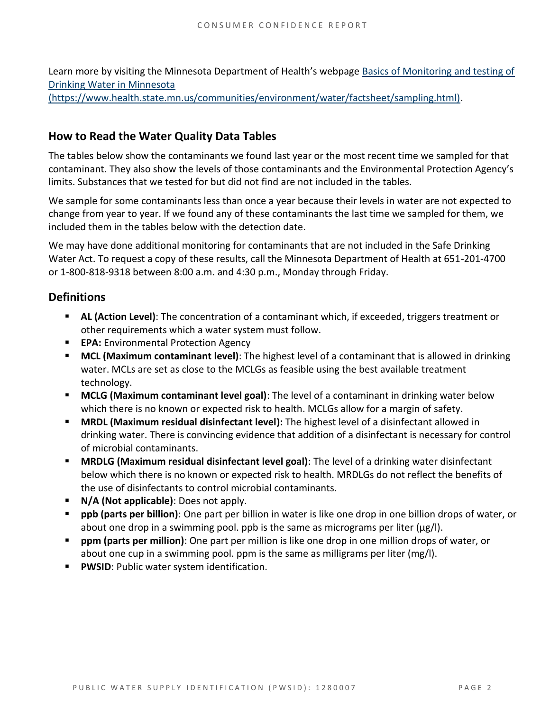Learn more by visiting the Minnesota Department of Health's webpage [Basics of Monitoring and testing of](https://www.health.state.mn.us/communities/environment/water/factsheet/sampling.html)  [Drinking Water in Minnesota](https://www.health.state.mn.us/communities/environment/water/factsheet/sampling.html) 

[\(https://www.health.state.mn.us/communities/environment/water/factsheet/sampling.html\).](https://www.health.state.mn.us/communities/environment/water/factsheet/sampling.html)

#### **How to Read the Water Quality Data Tables**

The tables below show the contaminants we found last year or the most recent time we sampled for that contaminant. They also show the levels of those contaminants and the Environmental Protection Agency's limits. Substances that we tested for but did not find are not included in the tables.

We sample for some contaminants less than once a year because their levels in water are not expected to change from year to year. If we found any of these contaminants the last time we sampled for them, we included them in the tables below with the detection date.

We may have done additional monitoring for contaminants that are not included in the Safe Drinking Water Act. To request a copy of these results, call the Minnesota Department of Health at 651-201-4700 or 1-800-818-9318 between 8:00 a.m. and 4:30 p.m., Monday through Friday.

#### **Definitions**

- **EXECT AL (Action Level):** The concentration of a contaminant which, if exceeded, triggers treatment or other requirements which a water system must follow.
- **EPA:** Environmental Protection Agency
- **MCL (Maximum contaminant level)**: The highest level of a contaminant that is allowed in drinking water. MCLs are set as close to the MCLGs as feasible using the best available treatment technology.
- **MCLG (Maximum contaminant level goal)**: The level of a contaminant in drinking water below which there is no known or expected risk to health. MCLGs allow for a margin of safety.
- **MRDL (Maximum residual disinfectant level):** The highest level of a disinfectant allowed in drinking water. There is convincing evidence that addition of a disinfectant is necessary for control of microbial contaminants.
- **MRDLG (Maximum residual disinfectant level goal)**: The level of a drinking water disinfectant below which there is no known or expected risk to health. MRDLGs do not reflect the benefits of the use of disinfectants to control microbial contaminants.
- **N/A (Not applicable)**: Does not apply.
- **ppb (parts per billion)**: One part per billion in water is like one drop in one billion drops of water, or about one drop in a swimming pool. ppb is the same as micrograms per liter ( $\mu$ g/l).
- **ppm (parts per million)**: One part per million is like one drop in one million drops of water, or about one cup in a swimming pool. ppm is the same as milligrams per liter (mg/l).
- **PWSID: Public water system identification.**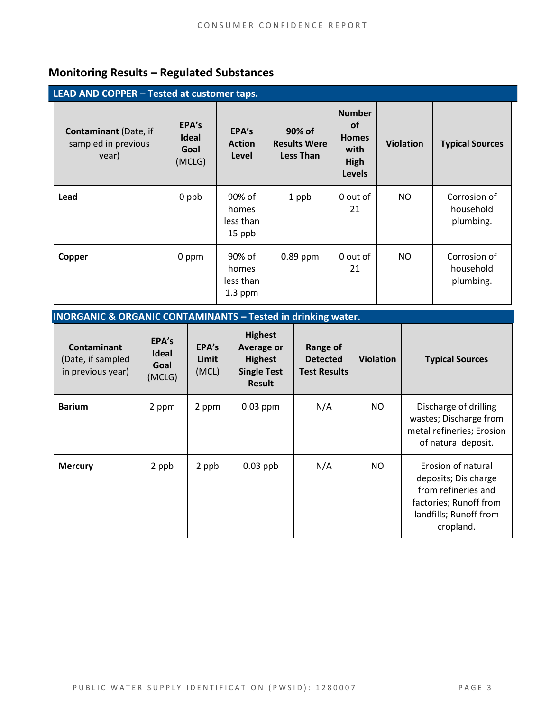### **Monitoring Results – Regulated Substances**

| LEAD AND COPPER - Tested at customer taps.                   |                                         |                                           |                                            |                                                                             |                  |                                        |  |  |
|--------------------------------------------------------------|-----------------------------------------|-------------------------------------------|--------------------------------------------|-----------------------------------------------------------------------------|------------------|----------------------------------------|--|--|
| <b>Contaminant</b> (Date, if<br>sampled in previous<br>year) | EPA's<br><b>Ideal</b><br>Goal<br>(MCLG) | EPA's<br><b>Action</b><br>Level           | 90% of<br><b>Results Were</b><br>Less Than | <b>Number</b><br><b>of</b><br><b>Homes</b><br>with<br>High<br><b>Levels</b> | <b>Violation</b> | <b>Typical Sources</b>                 |  |  |
| Lead                                                         | 0 ppb                                   | 90% of<br>homes<br>less than<br>15 ppb    | 1 ppb                                      | 0 out of<br>21                                                              | NO               | Corrosion of<br>household<br>plumbing. |  |  |
| Copper                                                       | 0 ppm                                   | 90% of<br>homes<br>less than<br>$1.3$ ppm | $0.89$ ppm                                 | 0 out of<br>21                                                              | NO               | Corrosion of<br>household<br>plumbing. |  |  |

**INORGANIC & ORGANIC CONTAMINANTS – Tested in drinking water.** 

| Contaminant<br>(Date, if sampled<br>in previous year) | EPA's<br><b>Ideal</b><br>Goal<br>(MCLG) | EPA's<br>Limit<br>(MCL) | <b>Highest</b><br>Average or<br><b>Highest</b><br><b>Single Test</b><br><b>Result</b> | Range of<br><b>Detected</b><br><b>Test Results</b> | <b>Violation</b> | <b>Typical Sources</b>                                                                                                             |
|-------------------------------------------------------|-----------------------------------------|-------------------------|---------------------------------------------------------------------------------------|----------------------------------------------------|------------------|------------------------------------------------------------------------------------------------------------------------------------|
| <b>Barium</b>                                         | 2 ppm                                   | 2 ppm                   | $0.03$ ppm                                                                            | N/A                                                | NO               | Discharge of drilling<br>wastes; Discharge from<br>metal refineries; Erosion<br>of natural deposit.                                |
| <b>Mercury</b>                                        | 2 ppb                                   | 2 ppb                   | $0.03$ ppb                                                                            | N/A                                                | NO               | Erosion of natural<br>deposits; Dis charge<br>from refineries and<br>factories; Runoff from<br>landfills; Runoff from<br>cropland. |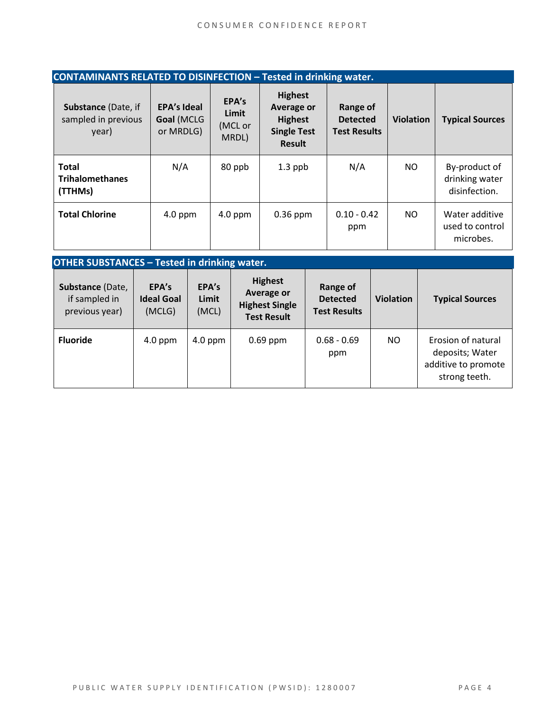| <b>CONTAMINANTS RELATED TO DISINFECTION - Tested in drinking water.</b> |  |                                               |                         |  |                                    |                                                                                              |  |                                                    |  |                  |  |                                                  |
|-------------------------------------------------------------------------|--|-----------------------------------------------|-------------------------|--|------------------------------------|----------------------------------------------------------------------------------------------|--|----------------------------------------------------|--|------------------|--|--------------------------------------------------|
| Substance (Date, if<br>sampled in previous<br>year)                     |  | <b>EPA's Ideal</b><br>Goal (MCLG<br>or MRDLG) |                         |  | EPA's<br>Limit<br>(MCL or<br>MRDL) | <b>Highest</b><br><b>Average or</b><br><b>Highest</b><br><b>Single Test</b><br><b>Result</b> |  | Range of<br><b>Detected</b><br><b>Test Results</b> |  | <b>Violation</b> |  | <b>Typical Sources</b>                           |
| <b>Total</b><br><b>Trihalomethanes</b><br>(TTHMs)                       |  | N/A                                           |                         |  | 80 ppb                             | $1.3$ ppb                                                                                    |  | N/A                                                |  | NO.              |  | By-product of<br>drinking water<br>disinfection. |
| <b>Total Chlorine</b>                                                   |  | $4.0$ ppm                                     |                         |  | $4.0$ ppm                          | $0.36$ ppm                                                                                   |  | $0.10 - 0.42$<br>ppm                               |  | N <sub>O</sub>   |  | Water additive<br>used to control<br>microbes.   |
| <b>OTHER SUBSTANCES - Tested in drinking water.</b>                     |  |                                               |                         |  |                                    |                                                                                              |  |                                                    |  |                  |  |                                                  |
| Substance (Date,<br>if sampled in<br>previous year)                     |  | EPA's<br><b>Ideal Goal</b><br>(MCLG)          | EPA's<br>Limit<br>(MCL) |  |                                    | <b>Highest</b><br><b>Average or</b><br><b>Highest Single</b><br><b>Test Result</b>           |  | Range of<br><b>Detected</b><br><b>Test Results</b> |  | <b>Violation</b> |  | <b>Typical Sources</b>                           |
| <b>Fluoride</b>                                                         |  | $4.0$ ppm                                     | 4.0 ppm                 |  |                                    | 0.69 ppm                                                                                     |  | $0.68 - 0.69$                                      |  | NO.              |  | Erosion of natural                               |

ppm

deposits; Water additive to promote strong teeth.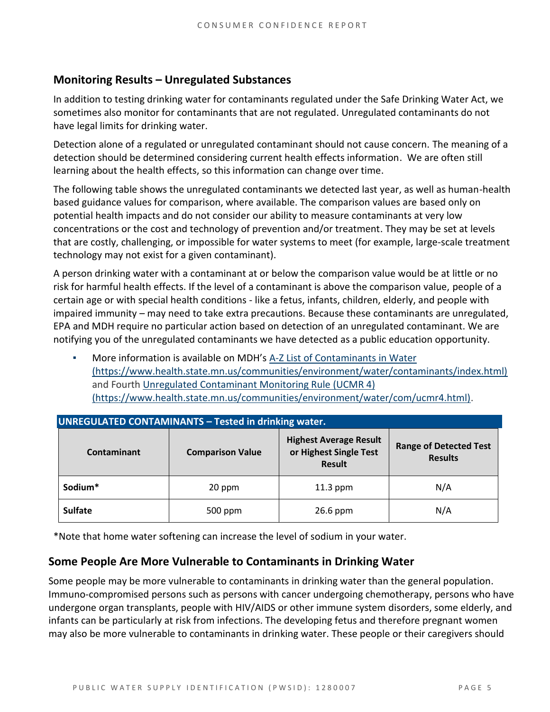#### **Monitoring Results – Unregulated Substances**

In addition to testing drinking water for contaminants regulated under the Safe Drinking Water Act, we sometimes also monitor for contaminants that are not regulated. Unregulated contaminants do not have legal limits for drinking water.

Detection alone of a regulated or unregulated contaminant should not cause concern. The meaning of a detection should be determined considering current health effects information. We are often still learning about the health effects, so this information can change over time.

The following table shows the unregulated contaminants we detected last year, as well as human-health based guidance values for comparison, where available. The comparison values are based only on potential health impacts and do not consider our ability to measure contaminants at very low concentrations or the cost and technology of prevention and/or treatment. They may be set at levels that are costly, challenging, or impossible for water systems to meet (for example, large-scale treatment technology may not exist for a given contaminant).

A person drinking water with a contaminant at or below the comparison value would be at little or no risk for harmful health effects. If the level of a contaminant is above the comparison value, people of a certain age or with special health conditions - like a fetus, infants, children, elderly, and people with impaired immunity – may need to take extra precautions. Because these contaminants are unregulated, EPA and MDH require no particular action based on detection of an unregulated contaminant. We are notifying you of the unregulated contaminants we have detected as a public education opportunity.

More information is available on MDH's A-Z List of Contaminants in Water [\(https://www.health.state.mn.us/communities/environment/water/contaminants/index.html\)](https://www.health.state.mn.us/communities/environment/water/contaminants/index.html) and Fourth [Unregulated Contaminant Monitoring Rule \(UCMR 4\)](https://www.health.state.mn.us/communities/environment/water/com/ucmr4.html)  [\(https://www.health.state.mn.us/communities/environment/water/com/ucmr4.html\).](https://www.health.state.mn.us/communities/environment/water/com/ucmr4.html)

| <b>UNREGULATED CONTAMINANTS - Tested in drinking water.</b> |                         |                                                                          |                                                 |  |  |  |  |  |
|-------------------------------------------------------------|-------------------------|--------------------------------------------------------------------------|-------------------------------------------------|--|--|--|--|--|
| Contaminant                                                 | <b>Comparison Value</b> | <b>Highest Average Result</b><br>or Highest Single Test<br><b>Result</b> | <b>Range of Detected Test</b><br><b>Results</b> |  |  |  |  |  |
| Sodium*                                                     | 20 ppm                  | $11.3$ ppm                                                               | N/A                                             |  |  |  |  |  |
| <b>Sulfate</b>                                              | 500 ppm                 | 26.6 ppm                                                                 | N/A                                             |  |  |  |  |  |

\*Note that home water softening can increase the level of sodium in your water.

#### **Some People Are More Vulnerable to Contaminants in Drinking Water**

Some people may be more vulnerable to contaminants in drinking water than the general population. Immuno-compromised persons such as persons with cancer undergoing chemotherapy, persons who have undergone organ transplants, people with HIV/AIDS or other immune system disorders, some elderly, and infants can be particularly at risk from infections. The developing fetus and therefore pregnant women may also be more vulnerable to contaminants in drinking water. These people or their caregivers should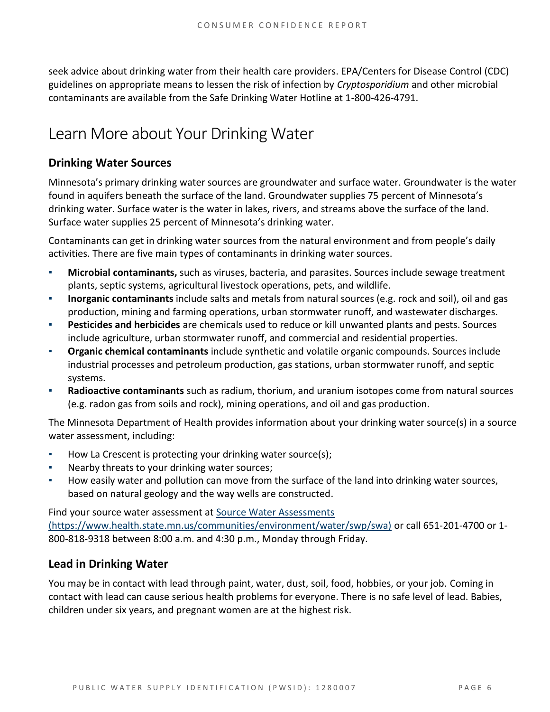seek advice about drinking water from their health care providers. EPA/Centers for Disease Control (CDC) guidelines on appropriate means to lessen the risk of infection by *Cryptosporidium* and other microbial contaminants are available from the Safe Drinking Water Hotline at 1-800-426-4791.

## Learn More about Your Drinking Water

#### **Drinking Water Sources**

Minnesota's primary drinking water sources are groundwater and surface water. Groundwater is the water found in aquifers beneath the surface of the land. Groundwater supplies 75 percent of Minnesota's drinking water. Surface water is the water in lakes, rivers, and streams above the surface of the land. Surface water supplies 25 percent of Minnesota's drinking water.

Contaminants can get in drinking water sources from the natural environment and from people's daily activities. There are five main types of contaminants in drinking water sources.

- **Microbial contaminants,** such as viruses, bacteria, and parasites. Sources include sewage treatment plants, septic systems, agricultural livestock operations, pets, and wildlife.
- **Inorganic contaminants** include salts and metals from natural sources (e.g. rock and soil), oil and gas production, mining and farming operations, urban stormwater runoff, and wastewater discharges.
- **Pesticides and herbicides** are chemicals used to reduce or kill unwanted plants and pests. Sources include agriculture, urban stormwater runoff, and commercial and residential properties.
- **Organic chemical contaminants** include synthetic and volatile organic compounds. Sources include industrial processes and petroleum production, gas stations, urban stormwater runoff, and septic systems.
- **Radioactive contaminants** such as radium, thorium, and uranium isotopes come from natural sources (e.g. radon gas from soils and rock), mining operations, and oil and gas production.

The Minnesota Department of Health provides information about your drinking water source(s) in a source water assessment, including:

- How La Crescent is protecting your drinking water source(s);
- Nearby threats to your drinking water sources;
- How easily water and pollution can move from the surface of the land into drinking water sources, based on natural geology and the way wells are constructed.

Find your source water assessment at [Source Water Assessments](https://www.health.state.mn.us/communities/environment/water/swp/swa)  [\(https://www.health.state.mn.us/communities/environment/water/swp/swa\)](https://www.health.state.mn.us/communities/environment/water/swp/swa) or call 651-201-4700 or 1- 800-818-9318 between 8:00 a.m. and 4:30 p.m., Monday through Friday.

#### **Lead in Drinking Water**

You may be in contact with lead through paint, water, dust, soil, food, hobbies, or your job. Coming in contact with lead can cause serious health problems for everyone. There is no safe level of lead. Babies, children under six years, and pregnant women are at the highest risk.